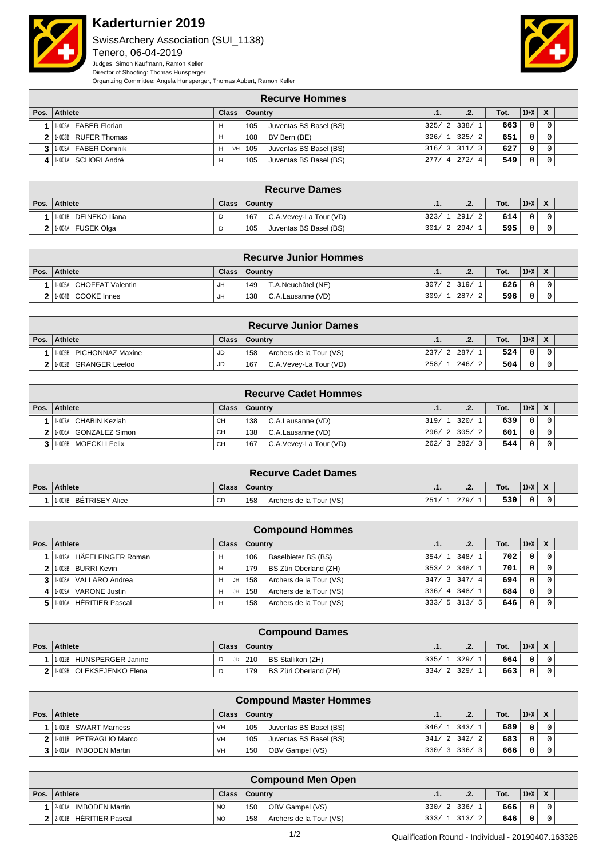

## **Kaderturnier 2019**

SwissArchery Association (SUI\_1138) Tenero, 06-04-2019 Judges: Simon Kaufmann, Ramon Keller Director of Shooting: Thomas Hunsperger



**Recurve Hommes Pos. Athlete Class Country .1. .2. Tot. 10+X X** 1-002A FABER Florian **H** 105 Juventas BS Basel (BS) 325/ 2 338/ 1 **663** 0 0 0 1- 003B RUFER Thomas H 108 BV Bern (BE) 326/ 1 325/ 2 **651** 0 0 1-003A FABER Dominik H VH 105 Juventas BS Basel (BS) 316/3 311/ 3 **627** 0 0 1-001A SCHORI André H 105 Juventas BS Basel (BS) 277/ 4 272/ 4 **549** 0 0

| <b>Recurve Dames</b>     |              |                               |      |             |      |        |                  |  |  |  |
|--------------------------|--------------|-------------------------------|------|-------------|------|--------|------------------|--|--|--|
| Pos. Athlete             | <b>Class</b> | <b>Country</b>                | .    | C<br>$\sim$ | Tot. | $10+X$ | $\boldsymbol{x}$ |  |  |  |
| DEINEKO Iliana<br>1-001B |              | C.A.Vevey-La Tour (VD)<br>167 | 323/ | 291<br>- 2  | 614  |        |                  |  |  |  |
| 1-004A FUSEK Olga        |              | Juventas BS Basel (BS)<br>105 | 301  | 294/        | 595  |        |                  |  |  |  |

|      |                            |    | <b>Recurve Junior Hommes</b> |       |                      |      |        |                           |  |
|------|----------------------------|----|------------------------------|-------|----------------------|------|--------|---------------------------|--|
| Pos. | Athlete                    |    | Class   Country              | .     | .2.                  | Tot. | $10+X$ | $\boldsymbol{\mathsf{x}}$ |  |
|      | CHOFFAT Valentin<br>1-005A | JH | 149<br>T.A.Neuchâtel (NE)    | 307/2 | 319/                 | 626  |        |                           |  |
| າ    | 1-004B COOKE Innes         | JH | C.A.Lausanne (VD)<br>138     | 309/  | 287<br>$\mathcal{D}$ | 596  |        |                           |  |

|      |                              |              | <b>Recurve Junior Dames</b>    |      |        |      |          |                  |  |
|------|------------------------------|--------------|--------------------------------|------|--------|------|----------|------------------|--|
| Pos. | Athlete                      | <b>Class</b> | <b>Country</b>                 | .1.  |        | Tot. | $ 10+X $ | $\boldsymbol{x}$ |  |
|      | 1-005B PICHONNAZ Maxine      | JD           | Archers de la Tour (VS)<br>158 | 237/ | 2 287/ | 524  |          |                  |  |
|      | GRANGER Leeloo<br>$1 - 002B$ | JD           | 167<br>C.A.Vevey-La Tour (VD)  | 258/ | 1246/  | 504  |          |                  |  |

|      |                         |           | <b>Recurve Cadet Hommes</b>   |            |             |      |        |                           |  |
|------|-------------------------|-----------|-------------------------------|------------|-------------|------|--------|---------------------------|--|
| Pos. | <b>Athlete</b>          |           | Class   Country               | .1.        | .2.         | Tot. | $10+X$ | $\boldsymbol{\mathsf{x}}$ |  |
|      | 1-007A CHABIN Keziah    | CН        | 138<br>C.A.Lausanne (VD)      | 319/11320/ |             | 639  |        |                           |  |
|      | 2 1.006A GONZALEZ Simon | <b>CH</b> | 138<br>C.A.Lausanne (VD)      |            | 296/21305/2 | 601  |        |                           |  |
|      | 1-006B MOECKLI Felix    | <b>CH</b> | C.A.Vevey-La Tour (VD)<br>167 | 262/       | 3 282/      | 544  |        |                           |  |

|      | <b>Recurve Cadet Dames</b> |              |                                |     |                   |      |        |  |  |  |  |  |
|------|----------------------------|--------------|--------------------------------|-----|-------------------|------|--------|--|--|--|--|--|
| Pos. | <b>Athlete</b>             | <b>Class</b> | <b>Country</b>                 | .   | $\cdot$<br>$\sim$ | Tot. | $10+X$ |  |  |  |  |  |
|      | BÉTRISEY Alice<br>1-007B   | <b>CD</b>    | Archers de la Tour (VS)<br>158 | 251 | 279.              | 530  |        |  |  |  |  |  |

|      |                          |         | <b>Compound Hommes</b>         |               |                 |      |          |   |  |
|------|--------------------------|---------|--------------------------------|---------------|-----------------|------|----------|---|--|
| Pos. | Athlete                  | Class   | <b>Country</b>                 | .1.           | .2.             | Tot. | $10+X$   | X |  |
|      | 1.012A HÄFELFINGER Roman |         | Baselbieter BS (BS)<br>106     | $354/1$ 348/1 |                 | 702  | $\Omega$ |   |  |
|      | 2   1-008B BURRI Kevin   |         | BS Züri Oberland (ZH)<br>179   | $353/2$ 348/1 |                 | 701  | 0        |   |  |
|      | 1-008A VALLARO Andrea    | JH<br>н | Archers de la Tour (VS)<br>158 |               | $347/3$ 3 347/4 | 694  | $\Omega$ |   |  |
|      | 1-009A VARONE Justin     | JH<br>н | Archers de la Tour (VS)<br>158 | $336/4$ 348/1 |                 | 684  | $\Omega$ |   |  |
|      | 1-010A HÉRITIER Pascal   | н       | Archers de la Tour (VS)<br>158 |               | $333/5$   313/5 | 646  |          |   |  |

|              | <b>Compound Dames</b>       |              |                              |      |        |      |        |                           |  |  |  |
|--------------|-----------------------------|--------------|------------------------------|------|--------|------|--------|---------------------------|--|--|--|
| Pos. $\vert$ | Athlete                     | <b>Class</b> | Country                      | - 14 | .2.    | Tot. | $10+X$ | $\boldsymbol{\mathsf{x}}$ |  |  |  |
|              | 1-012B HUNSPERGER Janine    | JD I         | BS Stallikon (ZH)<br>210     | 335/ | 11329/ | 664  |        |                           |  |  |  |
|              | OLEKSEJENKO Elena<br>1-009B |              | BS Züri Oberland (ZH)<br>179 | 334/ | 329/   | 663  |        |                           |  |  |  |

|              | <b>Compound Master Hommes</b> |              |                               |            |                |      |        |                           |  |  |  |  |
|--------------|-------------------------------|--------------|-------------------------------|------------|----------------|------|--------|---------------------------|--|--|--|--|
| Pos. $\vert$ | Athlete                       | <b>Class</b> | Country                       | $\cdot$ 1. | .2.            | Tot. | $10+X$ | $\boldsymbol{\mathsf{x}}$ |  |  |  |  |
|              | 1-010B SWART Marness          | VH           | Juventas BS Basel (BS)<br>105 |            | $346/1$ 343/1  | 689  |        |                           |  |  |  |  |
|              | 1-011B PETRAGLIO Marco        | VH           | 105<br>Juventas BS Basel (BS) |            | 341/2 342/2    | 683  |        |                           |  |  |  |  |
|              | IMBODEN Martin<br>1-011A      | VH           | OBV Gampel (VS)<br>150        |            | $330/3$ 3 36/3 | 666  |        |                           |  |  |  |  |

| <b>Compound Men Open</b>   |              |                                |            |  |                   |      |          |  |  |  |
|----------------------------|--------------|--------------------------------|------------|--|-------------------|------|----------|--|--|--|
| Pos. Athlete               | <b>Class</b> | <b>Country</b>                 | .1.        |  | C<br>$\mathbf{z}$ | Tot. | $ 10+X $ |  |  |  |
| IMBODEN Martin<br>2-001A   | <b>MO</b>    | OBV Gampel (VS)<br>150         | 330/21336/ |  |                   | 666  |          |  |  |  |
| 2 2 2 001B HÉRITIER Pascal | <b>MO</b>    | Archers de la Tour (VS)<br>158 | 333/1      |  | 313/<br>-2        | 646  |          |  |  |  |